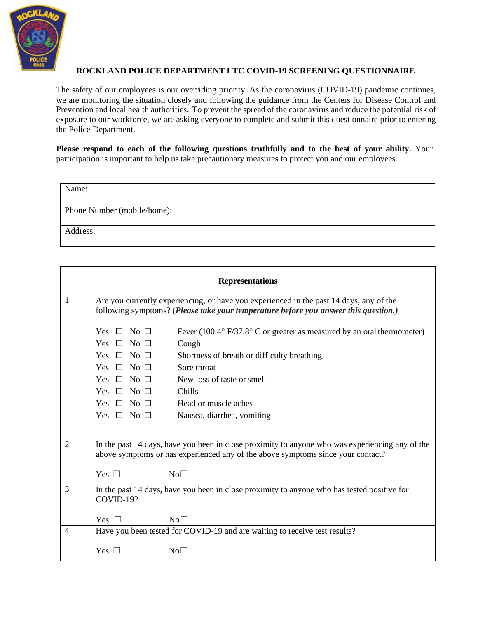

## **ROCKLAND POLICE DEPARTMENT LTC COVID-19 SCREENING QUESTIONNAIRE**

The safety of our employees is our overriding priority. As the coronavirus (COVID-19) pandemic continues, we are monitoring the situation closely and following the guidance from the Centers for Disease Control and Prevention and local health authorities. To prevent the spread of the coronavirus and reduce the potential risk of exposure to our workforce, we are asking everyone to complete and submit this questionnaire prior to entering the Police Department.

Please respond to each of the following questions truthfully and to the best of your ability. Your participation is important to help us take precautionary measures to protect you and our employees.

| Name:                       |  |
|-----------------------------|--|
| Phone Number (mobile/home): |  |
| Address:                    |  |

| <b>Representations</b> |                                                                                                                                                                                    |                                                                                             |  |  |  |  |
|------------------------|------------------------------------------------------------------------------------------------------------------------------------------------------------------------------------|---------------------------------------------------------------------------------------------|--|--|--|--|
| 1                      | Are you currently experiencing, or have you experienced in the past 14 days, any of the<br>following symptoms? (Please take your temperature before you answer this question.)     |                                                                                             |  |  |  |  |
|                        | Yes $\Box$ No $\Box$                                                                                                                                                               | Fever $(100.4^{\circ} F/37.8^{\circ} C$ or greater as measured by an oral thermometer)      |  |  |  |  |
|                        | Yes $\Box$ No $\Box$                                                                                                                                                               | Cough                                                                                       |  |  |  |  |
|                        | Yes $\Box$ No $\Box$                                                                                                                                                               | Shortness of breath or difficulty breathing                                                 |  |  |  |  |
|                        | Yes $\Box$ No $\Box$                                                                                                                                                               | Sore throat                                                                                 |  |  |  |  |
|                        | Yes $\Box$ No $\Box$                                                                                                                                                               | New loss of taste or smell                                                                  |  |  |  |  |
|                        | Yes $\Box$ No $\Box$                                                                                                                                                               | Chills                                                                                      |  |  |  |  |
|                        | Yes $\Box$ No $\Box$                                                                                                                                                               | Head or muscle aches                                                                        |  |  |  |  |
|                        | Yes $\Box$ No $\Box$                                                                                                                                                               | Nausea, diarrhea, vomiting                                                                  |  |  |  |  |
|                        |                                                                                                                                                                                    |                                                                                             |  |  |  |  |
| $\overline{2}$         | In the past 14 days, have you been in close proximity to anyone who was experiencing any of the<br>above symptoms or has experienced any of the above symptoms since your contact? |                                                                                             |  |  |  |  |
|                        | Yes $\Box$                                                                                                                                                                         | No <sub>1</sub>                                                                             |  |  |  |  |
| 3                      | COVID-19?                                                                                                                                                                          | In the past 14 days, have you been in close proximity to anyone who has tested positive for |  |  |  |  |
|                        | Yes $\Box$                                                                                                                                                                         | $No\square$                                                                                 |  |  |  |  |
| 4                      |                                                                                                                                                                                    | Have you been tested for COVID-19 and are waiting to receive test results?                  |  |  |  |  |
|                        | Yes $\Box$                                                                                                                                                                         | No <sub>1</sub>                                                                             |  |  |  |  |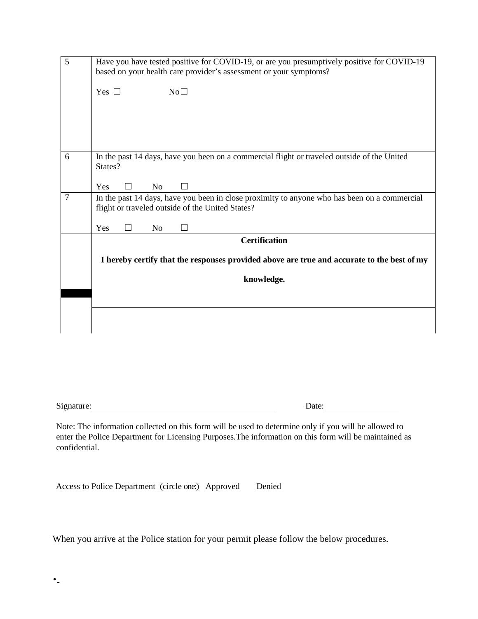| 5              | Have you have tested positive for COVID-19, or are you presumptively positive for COVID-19<br>based on your health care provider's assessment or your symptoms? |  |  |  |  |  |  |
|----------------|-----------------------------------------------------------------------------------------------------------------------------------------------------------------|--|--|--|--|--|--|
|                | Yes $\square$<br>No <sub>1</sub>                                                                                                                                |  |  |  |  |  |  |
|                |                                                                                                                                                                 |  |  |  |  |  |  |
|                |                                                                                                                                                                 |  |  |  |  |  |  |
| 6              | In the past 14 days, have you been on a commercial flight or traveled outside of the United<br>States?                                                          |  |  |  |  |  |  |
|                | Yes<br>N <sub>o</sub>                                                                                                                                           |  |  |  |  |  |  |
| $\overline{7}$ | In the past 14 days, have you been in close proximity to anyone who has been on a commercial<br>flight or traveled outside of the United States?                |  |  |  |  |  |  |
|                | Yes<br>N <sub>o</sub>                                                                                                                                           |  |  |  |  |  |  |
|                | <b>Certification</b>                                                                                                                                            |  |  |  |  |  |  |
|                | I hereby certify that the responses provided above are true and accurate to the best of my<br>knowledge.                                                        |  |  |  |  |  |  |
|                |                                                                                                                                                                 |  |  |  |  |  |  |
|                |                                                                                                                                                                 |  |  |  |  |  |  |
|                |                                                                                                                                                                 |  |  |  |  |  |  |
|                |                                                                                                                                                                 |  |  |  |  |  |  |
|                |                                                                                                                                                                 |  |  |  |  |  |  |

Signature: Date: Date: Date: Date:

Note: The information collected on this form will be used to determine only if you will be allowed to enter the Police Department for Licensing Purposes.The information on this form will be maintained as confidential.

| Access to Police Department (circle one:) Approved |  | Denied |
|----------------------------------------------------|--|--------|
|                                                    |  |        |

When you arrive at the Police station for your permit please follow the below procedures.